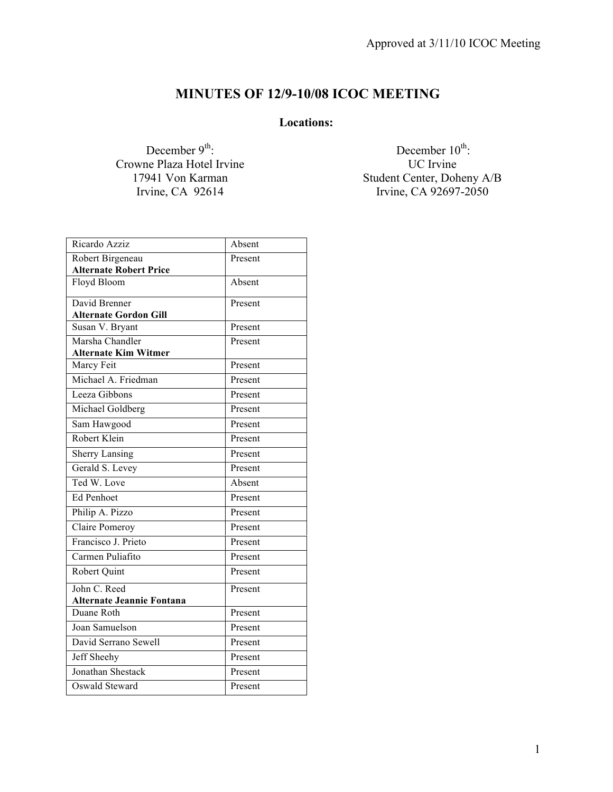# **MINUTES OF 12/9-10/08 ICOC MEETING**

# **Locations:**

December 9<sup>th</sup>: Crowne Plaza Hotel Irvine 17941 Von Karman Irvine, CA 92614

December  $10^{th}$ : UC Irvine Student Center, Doheny A/B Irvine, CA 92697-2050

| Ricardo Azziz                    | Absent  |
|----------------------------------|---------|
| Robert Birgeneau                 | Present |
| <b>Alternate Robert Price</b>    |         |
| Floyd Bloom                      | Absent  |
| David Brenner                    | Present |
| <b>Alternate Gordon Gill</b>     |         |
| Susan V. Bryant                  | Present |
| Marsha Chandler                  | Present |
| <b>Alternate Kim Witmer</b>      |         |
| Marcy Feit                       | Present |
| Michael A. Friedman              | Present |
| Leeza Gibbons                    | Present |
| Michael Goldberg                 | Present |
| Sam Hawgood                      | Present |
| Robert Klein                     | Present |
| <b>Sherry Lansing</b>            | Present |
| Gerald S. Levey                  | Present |
| Ted W. Love                      | Absent  |
| <b>Ed Penhoet</b>                | Present |
| Philip A. Pizzo                  | Present |
| Claire Pomeroy                   | Present |
| Francisco J. Prieto              | Present |
| Carmen Puliafito                 | Present |
| Robert Quint                     | Present |
| John C. Reed                     | Present |
| <b>Alternate Jeannie Fontana</b> |         |
| Duane Roth                       | Present |
| Joan Samuelson                   | Present |
| David Serrano Sewell             | Present |
| Jeff Sheehy                      | Present |
| Jonathan Shestack                | Present |
| Oswald Steward                   | Present |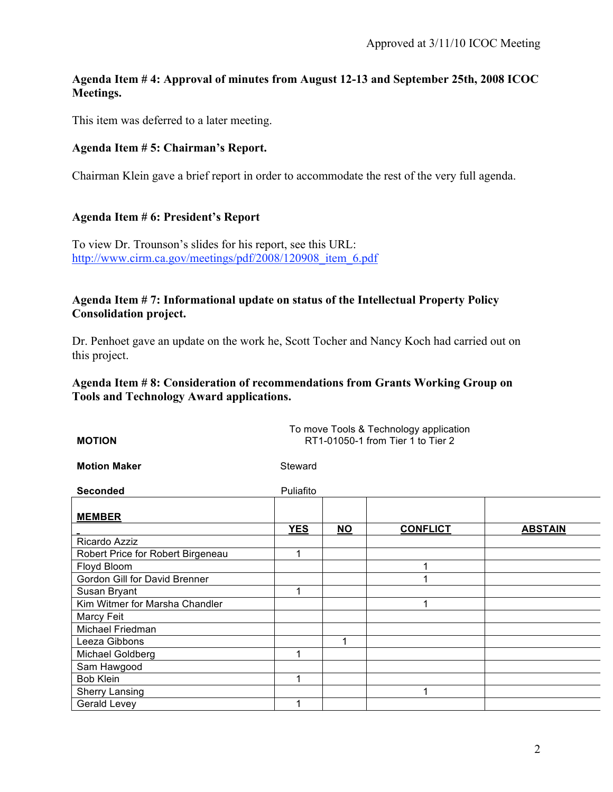### **Agenda Item # 4: Approval of minutes from August 12-13 and September 25th, 2008 ICOC Meetings.**

This item was deferred to a later meeting.

### **Agenda Item # 5: Chairman's Report.**

Chairman Klein gave a brief report in order to accommodate the rest of the very full agenda.

### **Agenda Item # 6: President's Report**

To view Dr. Trounson's slides for his report, see this URL: http://www.cirm.ca.gov/meetings/pdf/2008/120908\_item\_6.pdf

### **Agenda Item # 7: Informational update on status of the Intellectual Property Policy Consolidation project.**

Dr. Penhoet gave an update on the work he, Scott Tocher and Nancy Koch had carried out on this project.

### **Agenda Item # 8: Consideration of recommendations from Grants Working Group on Tools and Technology Award applications.**

| <b>MOTION</b> | To move Tools & Technology application<br>RT1-01050-1 from Tier 1 to Tier 2 |
|---------------|-----------------------------------------------------------------------------|
|               |                                                                             |

**Motion Maker** Steward

| <b>Seconded</b>                   | Puliafito  |      |                 |                |
|-----------------------------------|------------|------|-----------------|----------------|
| <b>MEMBER</b>                     |            |      |                 |                |
|                                   | <b>YES</b> | $NO$ | <b>CONFLICT</b> | <b>ABSTAIN</b> |
| Ricardo Azziz                     |            |      |                 |                |
| Robert Price for Robert Birgeneau | 1          |      |                 |                |
| Floyd Bloom                       |            |      |                 |                |
| Gordon Gill for David Brenner     |            |      |                 |                |
| Susan Bryant                      |            |      |                 |                |
| Kim Witmer for Marsha Chandler    |            |      |                 |                |
| Marcy Feit                        |            |      |                 |                |
| Michael Friedman                  |            |      |                 |                |
| Leeza Gibbons                     |            |      |                 |                |
| Michael Goldberg                  |            |      |                 |                |
| Sam Hawgood                       |            |      |                 |                |
| <b>Bob Klein</b>                  |            |      |                 |                |
| <b>Sherry Lansing</b>             |            |      |                 |                |
| Gerald Levey                      |            |      |                 |                |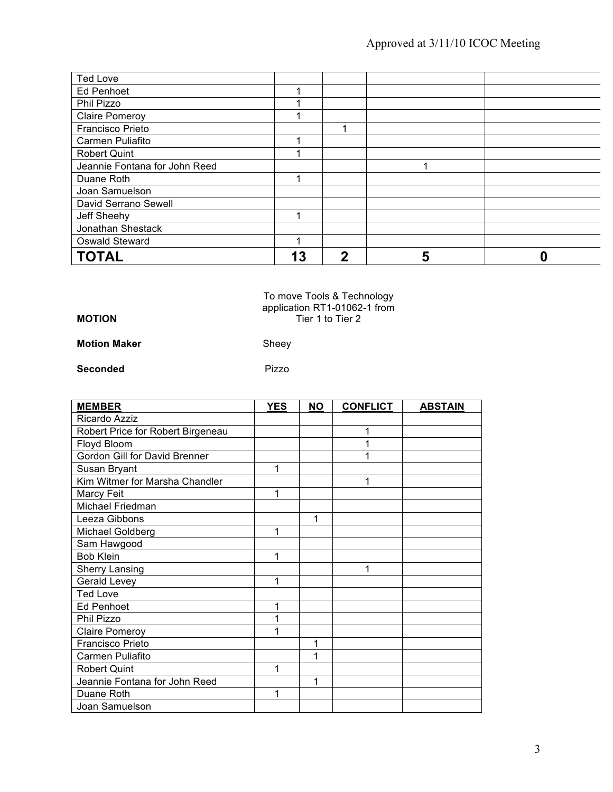| <b>Ted Love</b>               |    |   |   |  |
|-------------------------------|----|---|---|--|
| Ed Penhoet                    |    |   |   |  |
| Phil Pizzo                    |    |   |   |  |
| <b>Claire Pomeroy</b>         |    |   |   |  |
| Francisco Prieto              |    |   |   |  |
| Carmen Puliafito              |    |   |   |  |
| <b>Robert Quint</b>           |    |   |   |  |
| Jeannie Fontana for John Reed |    |   |   |  |
| Duane Roth                    |    |   |   |  |
| Joan Samuelson                |    |   |   |  |
| David Serrano Sewell          |    |   |   |  |
| Jeff Sheehy                   |    |   |   |  |
| Jonathan Shestack             |    |   |   |  |
| <b>Oswald Steward</b>         |    |   |   |  |
| <b>TOTAL</b>                  | 13 | ŋ | 5 |  |

To move Tools & Technology application RT1-01062-1 from Tier 1 to Tier 2

**MOTION**

**Motion Maker** Sheey

Seconded **Pizzo** 

| <b>MEMBER</b>                     | <b>YES</b> | <b>NO</b> | <b>CONFLICT</b> | <b>ABSTAIN</b> |
|-----------------------------------|------------|-----------|-----------------|----------------|
| Ricardo Azziz                     |            |           |                 |                |
| Robert Price for Robert Birgeneau |            |           |                 |                |
| Floyd Bloom                       |            |           |                 |                |
| Gordon Gill for David Brenner     |            |           |                 |                |
| Susan Bryant                      | 1          |           |                 |                |
| Kim Witmer for Marsha Chandler    |            |           |                 |                |
| Marcy Feit                        | 1          |           |                 |                |
| Michael Friedman                  |            |           |                 |                |
| Leeza Gibbons                     |            | 1         |                 |                |
| Michael Goldberg                  | 1          |           |                 |                |
| Sam Hawgood                       |            |           |                 |                |
| <b>Bob Klein</b>                  | 1          |           |                 |                |
| <b>Sherry Lansing</b>             |            |           | 1               |                |
| Gerald Levey                      | 1          |           |                 |                |
| Ted Love                          |            |           |                 |                |
| <b>Ed Penhoet</b>                 | 1          |           |                 |                |
| Phil Pizzo                        |            |           |                 |                |
| <b>Claire Pomeroy</b>             |            |           |                 |                |
| Francisco Prieto                  |            | 1         |                 |                |
| Carmen Puliafito                  |            | 1         |                 |                |
| <b>Robert Quint</b>               | 1          |           |                 |                |
| Jeannie Fontana for John Reed     |            | 1         |                 |                |
| Duane Roth                        | 1          |           |                 |                |
| Joan Samuelson                    |            |           |                 |                |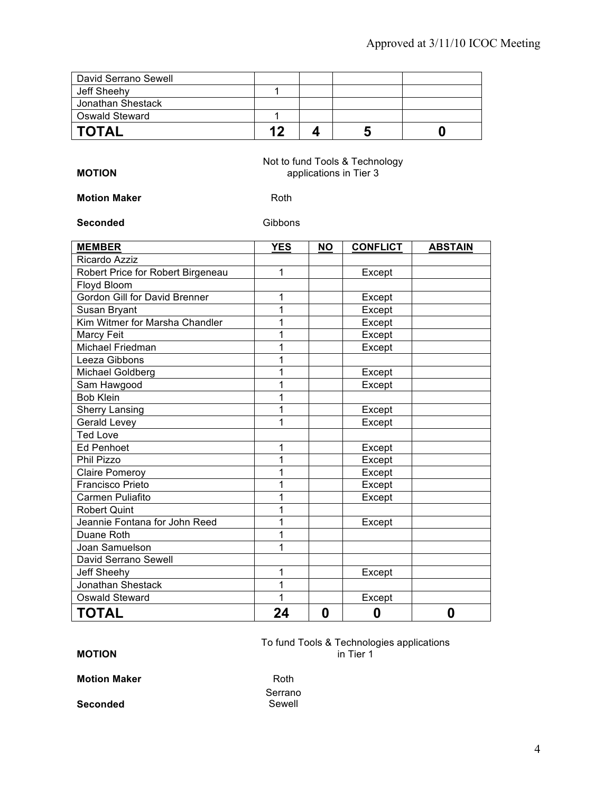| David Serrano Sewell              |            |           |                                |                |
|-----------------------------------|------------|-----------|--------------------------------|----------------|
| Jeff Sheehy                       | 1          |           |                                |                |
| Jonathan Shestack                 |            |           |                                |                |
| Oswald Steward                    | 1          |           |                                |                |
| <b>TOTAL</b>                      | 12         | 4         | 5                              | 0              |
|                                   |            |           |                                |                |
|                                   |            |           | Not to fund Tools & Technology |                |
| <b>MOTION</b>                     |            |           | applications in Tier 3         |                |
| <b>Motion Maker</b>               | Roth       |           |                                |                |
| <b>Seconded</b>                   | Gibbons    |           |                                |                |
|                                   |            |           |                                |                |
| <b>MEMBER</b>                     | <b>YES</b> | <b>NO</b> | <b>CONFLICT</b>                | <b>ABSTAIN</b> |
| Ricardo Azziz                     |            |           |                                |                |
| Robert Price for Robert Birgeneau | 1          |           | Except                         |                |
| Floyd Bloom                       |            |           |                                |                |
| Gordon Gill for David Brenner     | 1          |           | Except                         |                |
| Susan Bryant                      | 1          |           | Except                         |                |
| Kim Witmer for Marsha Chandler    | 1          |           | Except                         |                |
| Marcy Feit                        | 1          |           | Except                         |                |
| Michael Friedman                  | 1          |           | Except                         |                |
| Leeza Gibbons                     | 1          |           |                                |                |
| Michael Goldberg                  | 1          |           | Except                         |                |
| Sam Hawgood                       | 1          |           | Except                         |                |
| <b>Bob Klein</b>                  | 1          |           |                                |                |
| <b>Sherry Lansing</b>             | 1          |           | Except                         |                |
| Gerald Levey                      | 1          |           | Except                         |                |
| <b>Ted Love</b>                   |            |           |                                |                |
| Ed Penhoet                        | 1          |           | Except                         |                |
| Phil Pizzo                        | 1          |           | Except                         |                |
| Claire Pomeroy                    | 1          |           | Except                         |                |
| Francisco Prieto                  | 1          |           | Except                         |                |
| Carmen Puliafito                  | 1          |           | Except                         |                |
| <b>Robert Quint</b>               | 1          |           |                                |                |
| Jeannie Fontana for John Reed     | 1          |           | Except                         |                |
| Duane Roth                        | 1          |           |                                |                |
| Joan Samuelson                    | 1          |           |                                |                |
| David Serrano Sewell              |            |           |                                |                |
| Jeff Sheehy                       | 1          |           | Except                         |                |
| Jonathan Shestack                 | 1          |           |                                |                |
| <b>Oswald Steward</b>             | 1          |           | Except                         |                |
| TOTAL                             | 24         | 0         | 0                              | 0              |

Serrano Sewell

#### **MOTION**

**Motion Maker** Roth

**Seconded**

To fund Tools & Technologies applications in Tier 1

4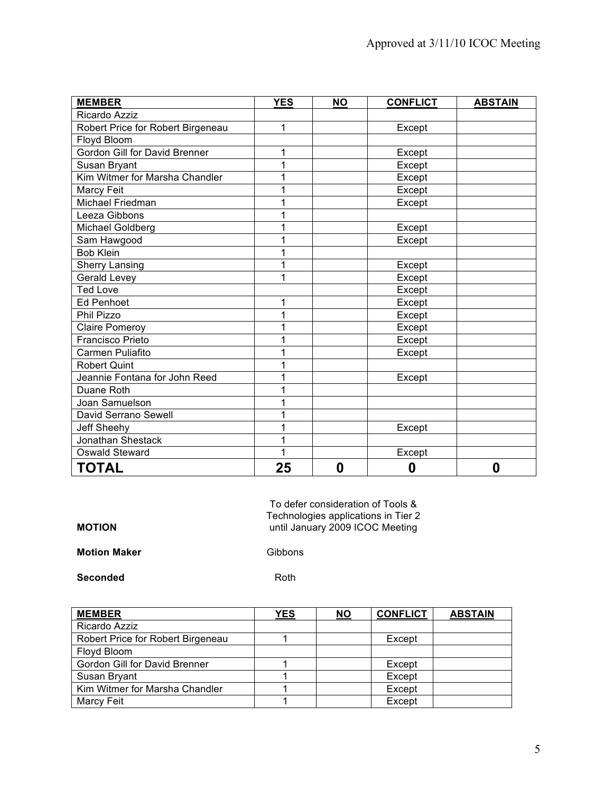| <b>MEMBER</b>                     | YES | <b>NO</b> | <b>CONFLICT</b> | <b>ABSTAIN</b> |
|-----------------------------------|-----|-----------|-----------------|----------------|
| Ricardo Azziz                     |     |           |                 |                |
| Robert Price for Robert Birgeneau | 1   |           | Except          |                |
| Floyd Bloom                       |     |           |                 |                |
| Gordon Gill for David Brenner     | 1   |           | Except          |                |
| Susan Bryant                      | 1   |           | Except          |                |
| Kim Witmer for Marsha Chandler    | 1   |           | Except          |                |
| Marcy Feit                        | 1   |           | Except          |                |
| Michael Friedman                  | 1   |           | Except          |                |
| Leeza Gibbons                     | 1   |           |                 |                |
| Michael Goldberg                  | 1   |           | Except          |                |
| Sam Hawgood                       | 1   |           | Except          |                |
| <b>Bob Klein</b>                  | 1   |           |                 |                |
| <b>Sherry Lansing</b>             | 1   |           | Except          |                |
| Gerald Levey                      | 1   |           | Except          |                |
| <b>Ted Love</b>                   |     |           | Except          |                |
| <b>Ed Penhoet</b>                 | 1   |           | Except          |                |
| <b>Phil Pizzo</b>                 | 1   |           | Except          |                |
| <b>Claire Pomeroy</b>             | 1   |           | Except          |                |
| <b>Francisco Prieto</b>           | 1   |           | Except          |                |
| Carmen Puliafito                  | 1   |           | Except          |                |
| <b>Robert Quint</b>               | 1   |           |                 |                |
| Jeannie Fontana for John Reed     | 1   |           | Except          |                |
| Duane Roth                        | 1   |           |                 |                |
| Joan Samuelson                    | 1   |           |                 |                |
| David Serrano Sewell              | 1   |           |                 |                |
| Jeff Sheehy                       | 1   |           | Except          |                |
| <b>Jonathan Shestack</b>          | 1   |           |                 |                |
| Oswald Steward                    | 1   |           | Except          |                |
| <b>TOTAL</b>                      | 25  | 0         | 0               | 0              |

| <b>MOTION</b> |  |  |
|---------------|--|--|
|               |  |  |

To defer consideration of Tools & Technologies applications in Tier 2 until January 2009 ICOC Meeting

**Motion Maker** Gibbons

Seconded Roth

| <b>MEMBER</b>                     | <b>YES</b> | <u>NO</u> | <b>CONFLICT</b> | <b>ABSTAIN</b> |
|-----------------------------------|------------|-----------|-----------------|----------------|
| Ricardo Azziz                     |            |           |                 |                |
| Robert Price for Robert Birgeneau |            |           | Except          |                |
| Floyd Bloom                       |            |           |                 |                |
| Gordon Gill for David Brenner     |            |           | Except          |                |
| Susan Bryant                      |            |           | Except          |                |
| Kim Witmer for Marsha Chandler    |            |           | Except          |                |
| Marcy Feit                        |            |           | Except          |                |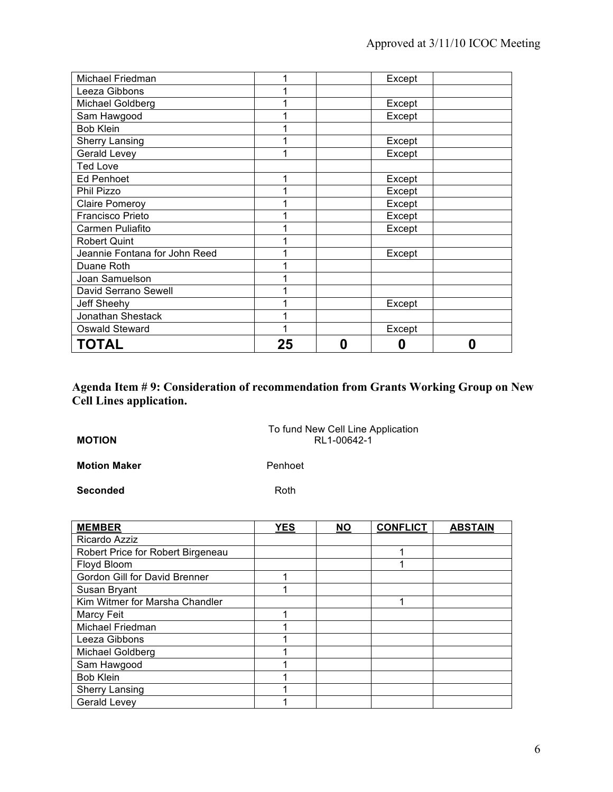| Michael Friedman              |    |   | Except |   |
|-------------------------------|----|---|--------|---|
| Leeza Gibbons                 |    |   |        |   |
| Michael Goldberg              |    |   | Except |   |
| Sam Hawgood                   |    |   | Except |   |
| <b>Bob Klein</b>              | 1  |   |        |   |
| <b>Sherry Lansing</b>         | 1  |   | Except |   |
| Gerald Levey                  | 1  |   | Except |   |
| Ted Love                      |    |   |        |   |
| <b>Ed Penhoet</b>             | 1  |   | Except |   |
| Phil Pizzo                    |    |   | Except |   |
| <b>Claire Pomeroy</b>         | 1  |   | Except |   |
| Francisco Prieto              |    |   | Except |   |
| Carmen Puliafito              |    |   | Except |   |
| <b>Robert Quint</b>           |    |   |        |   |
| Jeannie Fontana for John Reed |    |   | Except |   |
| Duane Roth                    |    |   |        |   |
| Joan Samuelson                |    |   |        |   |
| David Serrano Sewell          | 1  |   |        |   |
| Jeff Sheehy                   |    |   | Except |   |
| Jonathan Shestack             | 1  |   |        |   |
| Oswald Steward                | 1  |   | Except |   |
| <b>TOTAL</b>                  | 25 | N | 0      | n |

**Agenda Item # 9: Consideration of recommendation from Grants Working Group on New Cell Lines application.**

**MOTION**

To fund New Cell Line Application RL1-00642-1

**Motion Maker** Penhoet

Seconded Roth

| <b>MEMBER</b>                     | <b>YES</b> | <u>NO</u> | <b>CONFLICT</b> | <b>ABSTAIN</b> |
|-----------------------------------|------------|-----------|-----------------|----------------|
| Ricardo Azziz                     |            |           |                 |                |
| Robert Price for Robert Birgeneau |            |           | 4               |                |
| Floyd Bloom                       |            |           |                 |                |
| Gordon Gill for David Brenner     |            |           |                 |                |
| Susan Bryant                      |            |           |                 |                |
| Kim Witmer for Marsha Chandler    |            |           | 1               |                |
| Marcy Feit                        |            |           |                 |                |
| Michael Friedman                  |            |           |                 |                |
| Leeza Gibbons                     |            |           |                 |                |
| Michael Goldberg                  |            |           |                 |                |
| Sam Hawgood                       |            |           |                 |                |
| <b>Bob Klein</b>                  |            |           |                 |                |
| <b>Sherry Lansing</b>             |            |           |                 |                |
| Gerald Levey                      |            |           |                 |                |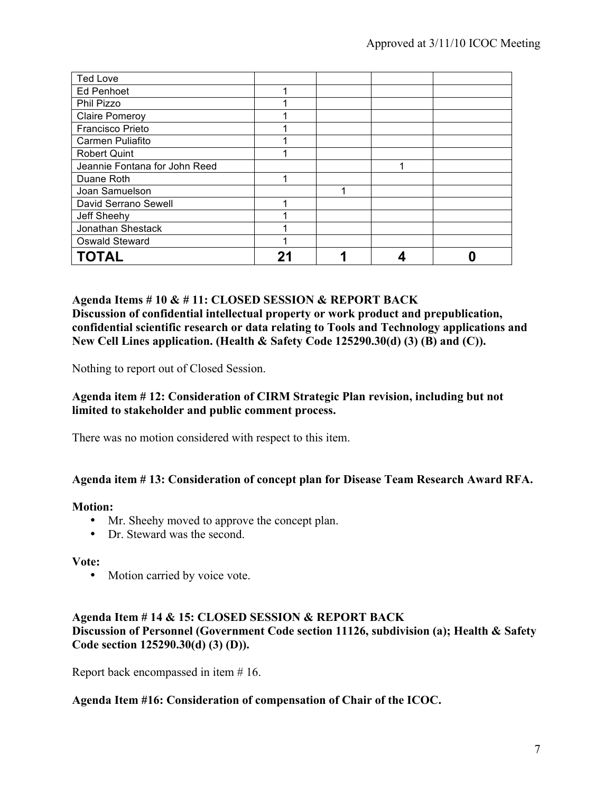| Ted Love                      |    |  |  |
|-------------------------------|----|--|--|
| Ed Penhoet                    |    |  |  |
| Phil Pizzo                    |    |  |  |
| <b>Claire Pomeroy</b>         |    |  |  |
| Francisco Prieto              |    |  |  |
| Carmen Puliafito              |    |  |  |
| <b>Robert Quint</b>           |    |  |  |
| Jeannie Fontana for John Reed |    |  |  |
| Duane Roth                    |    |  |  |
| Joan Samuelson                |    |  |  |
| David Serrano Sewell          |    |  |  |
| Jeff Sheehy                   |    |  |  |
| Jonathan Shestack             |    |  |  |
| <b>Oswald Steward</b>         |    |  |  |
| TOTAL                         | 21 |  |  |

**Agenda Items # 10 & # 11: CLOSED SESSION & REPORT BACK Discussion of confidential intellectual property or work product and prepublication, confidential scientific research or data relating to Tools and Technology applications and New Cell Lines application. (Health & Safety Code 125290.30(d) (3) (B) and (C)).**

Nothing to report out of Closed Session.

### **Agenda item # 12: Consideration of CIRM Strategic Plan revision, including but not limited to stakeholder and public comment process.**

There was no motion considered with respect to this item.

#### **Agenda item # 13: Consideration of concept plan for Disease Team Research Award RFA.**

#### **Motion:**

- Mr. Sheehy moved to approve the concept plan.
- Dr. Steward was the second.

#### **Vote:**

• Motion carried by voice vote.

### **Agenda Item # 14 & 15: CLOSED SESSION & REPORT BACK Discussion of Personnel (Government Code section 11126, subdivision (a); Health & Safety Code section 125290.30(d) (3) (D)).**

Report back encompassed in item # 16.

#### **Agenda Item #16: Consideration of compensation of Chair of the ICOC.**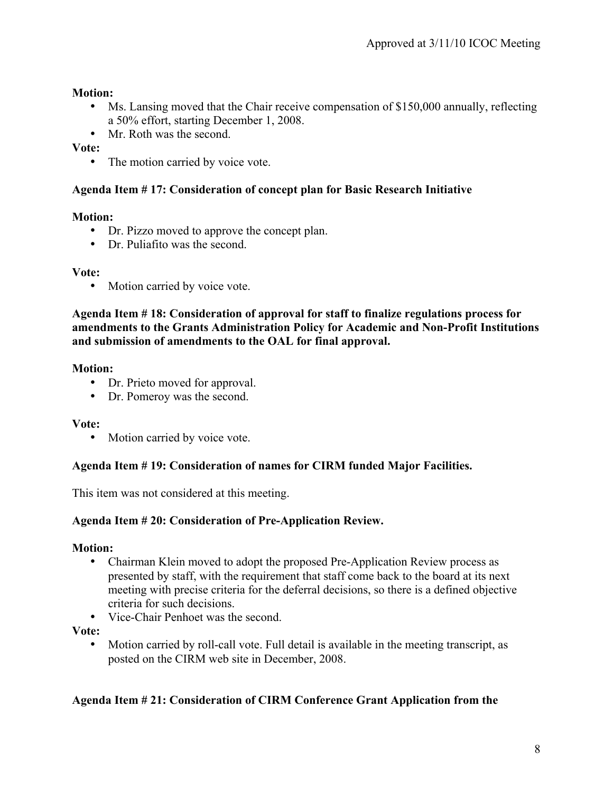### **Motion:**

- Ms. Lansing moved that the Chair receive compensation of \$150,000 annually, reflecting a 50% effort, starting December 1, 2008.
- Mr. Roth was the second.

### **Vote:**

• The motion carried by voice vote.

### **Agenda Item # 17: Consideration of concept plan for Basic Research Initiative**

### **Motion:**

- Dr. Pizzo moved to approve the concept plan.
- Dr. Puliafito was the second.

### **Vote:**

• Motion carried by voice vote.

**Agenda Item # 18: Consideration of approval for staff to finalize regulations process for amendments to the Grants Administration Policy for Academic and Non-Profit Institutions and submission of amendments to the OAL for final approval.**

### **Motion:**

- Dr. Prieto moved for approval.
- Dr. Pomeroy was the second.

### **Vote:**

• Motion carried by voice vote.

### **Agenda Item # 19: Consideration of names for CIRM funded Major Facilities.**

This item was not considered at this meeting.

### **Agenda Item # 20: Consideration of Pre-Application Review.**

#### **Motion:**

- Chairman Klein moved to adopt the proposed Pre-Application Review process as presented by staff, with the requirement that staff come back to the board at its next meeting with precise criteria for the deferral decisions, so there is a defined objective criteria for such decisions.
- Vice-Chair Penhoet was the second.

### **Vote:**

• Motion carried by roll-call vote. Full detail is available in the meeting transcript, as posted on the CIRM web site in December, 2008.

### **Agenda Item # 21: Consideration of CIRM Conference Grant Application from the**